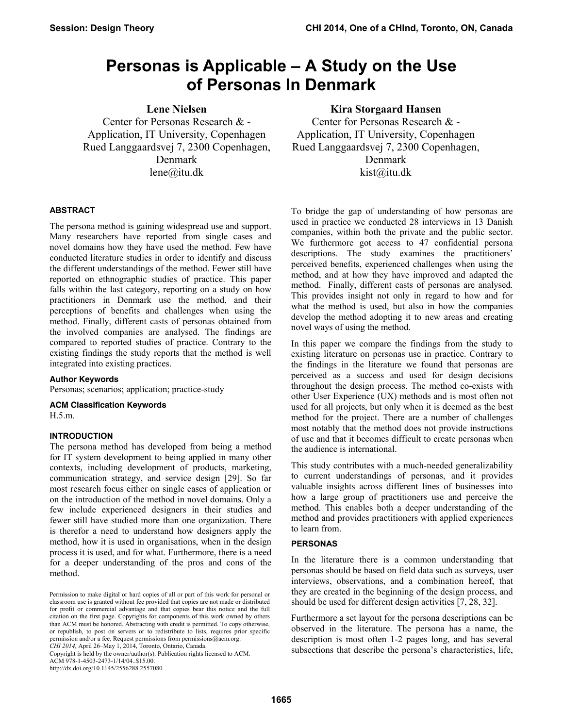# **Personas is Applicable – A Study on the Use of Personas In Denmark**

**Lene Nielsen** 

Center for Personas Research & - Application, IT University, Copenhagen Rued Langgaardsvej 7, 2300 Copenhagen, Denmark lene@itu.dk

## **ABSTRACT**

The persona method is gaining widespread use and support. Many researchers have reported from single cases and novel domains how they have used the method. Few have conducted literature studies in order to identify and discuss the different understandings of the method. Fewer still have reported on ethnographic studies of practice. This paper falls within the last category, reporting on a study on how practitioners in Denmark use the method, and their perceptions of benefits and challenges when using the method. Finally, different casts of personas obtained from the involved companies are analysed. The findings are compared to reported studies of practice. Contrary to the existing findings the study reports that the method is well integrated into existing practices.

## **Author Keywords**

Personas; scenarios; application; practice-study

**ACM Classification Keywords** 

H.5.m.

#### **INTRODUCTION**

The persona method has developed from being a method for IT system development to being applied in many other contexts, including development of products, marketing, communication strategy, and service design [29]. So far most research focus either on single cases of application or on the introduction of the method in novel domains. Only a few include experienced designers in their studies and fewer still have studied more than one organization. There is therefor a need to understand how designers apply the method, how it is used in organisations, when in the design process it is used, and for what. Furthermore, there is a need for a deeper understanding of the pros and cons of the method.

Copyright is held by the owner/author(s). Publication rights licensed to ACM. ACM 978-1-4503-2473-1/14/04 \$15.00

http://dx.doi.org/10.1145/2556288.2557080

## **Kira Storgaard Hansen**

Center for Personas Research & - Application, IT University, Copenhagen Rued Langgaardsvej 7, 2300 Copenhagen, Denmark kist@itu.dk

To bridge the gap of understanding of how personas are used in practice we conducted 28 interviews in 13 Danish companies, within both the private and the public sector. We furthermore got access to 47 confidential persona descriptions. The study examines the practitioners' perceived benefits, experienced challenges when using the method, and at how they have improved and adapted the method. Finally, different casts of personas are analysed. This provides insight not only in regard to how and for what the method is used, but also in how the companies develop the method adopting it to new areas and creating novel ways of using the method.

In this paper we compare the findings from the study to existing literature on personas use in practice. Contrary to the findings in the literature we found that personas are perceived as a success and used for design decisions throughout the design process. The method co-exists with other User Experience (UX) methods and is most often not used for all projects, but only when it is deemed as the best method for the project. There are a number of challenges most notably that the method does not provide instructions of use and that it becomes difficult to create personas when the audience is international.

This study contributes with a much-needed generalizability to current understandings of personas, and it provides valuable insights across different lines of businesses into how a large group of practitioners use and perceive the method. This enables both a deeper understanding of the method and provides practitioners with applied experiences to learn from.

#### **PERSONAS**

In the literature there is a common understanding that personas should be based on field data such as surveys, user interviews, observations, and a combination hereof, that they are created in the beginning of the design process, and should be used for different design activities [7, 28, 32].

Furthermore a set layout for the persona descriptions can be observed in the literature. The persona has a name, the description is most often 1-2 pages long, and has several subsections that describe the persona's characteristics, life,

Permission to make digital or hard copies of all or part of this work for personal or classroom use is granted without fee provided that copies are not made or distributed for profit or commercial advantage and that copies bear this notice and the full citation on the first page. Copyrights for components of this work owned by others than ACM must be honored. Abstracting with credit is permitted. To copy otherwise, or republish, to post on servers or to redistribute to lists, requires prior specific permission and/or a fee. Request permissions from permissions@acm.org. *CHI 2014,* April 26–May 1, 2014, Toronto, Ontario, Canada.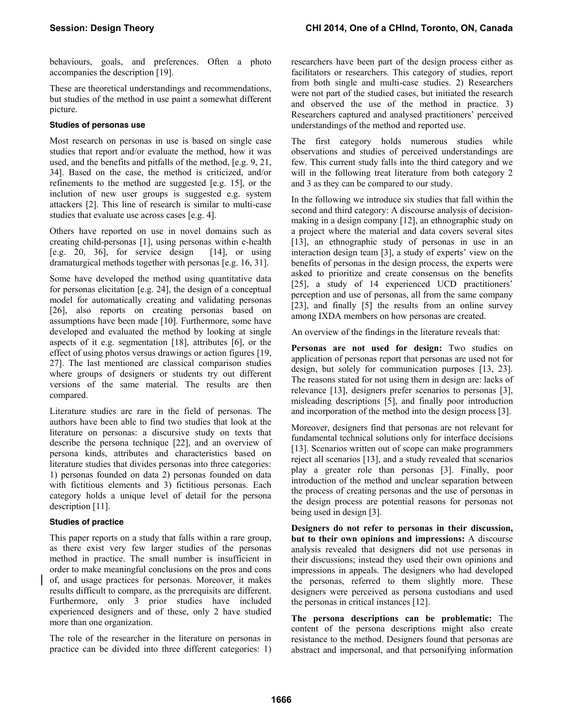behaviours, goals, and preferences. Often a photo accompanies the description [19].

These are theoretical understandings and recommendations, but studies of the method in use paint a somewhat different picture.

## **Studies of personas use**

Most research on personas in use is based on single case studies that report and/or evaluate the method, how it was used, and the benefits and pitfalls of the method, [e.g. 9, 21, 34]. Based on the case, the method is criticized, and/or refinements to the method are suggested [e.g. 15], or the inclution of new user groups is suggested e.g. system attackers [2]. This line of research is similar to multi-case studies that evaluate use across cases [e.g. 4].

Others have reported on use in novel domains such as creating child-personas [1], using personas within e-health [e.g. 20, 36], for service design  $[14]$ , or using dramaturgical methods together with personas [e.g. 16, 31].

Some have developed the method using quantitative data for personas elicitation [e.g. 24], the design of a conceptual model for automatically creating and validating personas [26], also reports on creating personas based on assumptions have been made [10]. Furthermore, some have developed and evaluated the method by looking at single aspects of it e.g. segmentation [18], attributes [6], or the effect of using photos versus drawings or action figures [19, 27]. The last mentioned are classical comparison studies where groups of designers or students try out different versions of the same material. The results are then compared.

Literature studies are rare in the field of personas. The authors have been able to find two studies that look at the literature on personas: a discursive study on texts that describe the persona technique [22], and an overview of persona kinds, attributes and characteristics based on literature studies that divides personas into three categories: 1) personas founded on data 2) personas founded on data with fictitious elements and 3) fictitious personas. Each category holds a unique level of detail for the persona description [11].

## **Studies of practice**

This paper reports on a study that falls within a rare group, as there exist very few larger studies of the personas method in practice. The small number is insufficient in order to make meaningful conclusions on the pros and cons of, and usage practices for personas. Moreover, it makes results difficult to compare, as the prerequisits are different. Furthermore, only 3 prior studies have included experienced designers and of these, only 2 have studied more than one organization.

The role of the researcher in the literature on personas in practice can be divided into three different categories: 1) researchers have been part of the design process either as facilitators or researchers. This category of studies, report from both single and multi-case studies. 2) Researchers were not part of the studied cases, but initiated the research and observed the use of the method in practice. 3) Researchers captured and analysed practitioners' perceived understandings of the method and reported use.

The first category holds numerous studies while observations and studies of perceived understandings are few. This current study falls into the third category and we will in the following treat literature from both category 2 and 3 as they can be compared to our study.

In the following we introduce six studies that fall within the second and third category: A discourse analysis of decisionmaking in a design company [12], an ethnographic study on a project where the material and data covers several sites [13], an ethnographic study of personas in use in an interaction design team [3], a study of experts' view on the benefits of personas in the design process, the experts were asked to prioritize and create consensus on the benefits [25], a study of 14 experienced UCD practitioners' perception and use of personas, all from the same company [23], and finally [5] the results from an online survey among IXDA members on how personas are created.

An overview of the findings in the literature reveals that:

Personas are not used for design: Two studies on application of personas report that personas are used not for design, but solely for communication purposes [13, 23]. The reasons stated for not using them in design are: lacks of relevance [13], designers prefer scenarios to personas [3], misleading descriptions [5], and finally poor introduction and incorporation of the method into the design process [3].

Moreover, designers find that personas are not relevant for fundamental technical solutions only for interface decisions [13]. Scenarios written out of scope can make programmers reject all scenarios [13], and a study revealed that scenarios play a greater role than personas [3]. Finally, poor introduction of the method and unclear separation between the process of creating personas and the use of personas in the design process are potential reasons for personas not being used in design [3].

**Designers do not refer to personas in their discussion, but to their own opinions and impressions:** A discourse analysis revealed that designers did not use personas in their discussions; instead they used their own opinions and impressions in appeals. The designers who had developed the personas, referred to them slightly more. These designers were perceived as persona custodians and used the personas in critical instances [12].

**The persona descriptions can be problematic:** The content of the persona descriptions might also create resistance to the method. Designers found that personas are abstract and impersonal, and that personifying information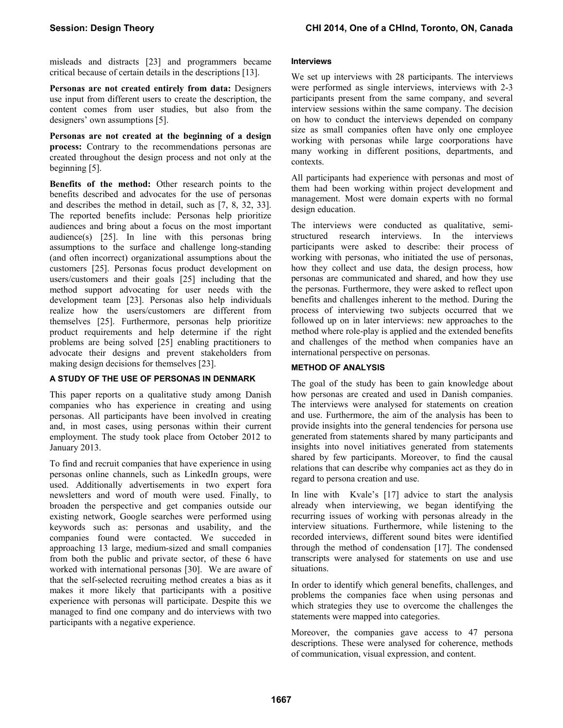misleads and distracts [23] and programmers became critical because of certain details in the descriptions [13].

**Personas are not created entirely from data:** Designers use input from different users to create the description, the content comes from user studies, but also from the designers' own assumptions [5].

**Personas are not created at the beginning of a design process:** Contrary to the recommendations personas are created throughout the design process and not only at the beginning [5].

**Benefits of the method:** Other research points to the benefits described and advocates for the use of personas and describes the method in detail, such as [7, 8, 32, 33]. The reported benefits include: Personas help prioritize audiences and bring about a focus on the most important audience(s) [25]. In line with this personas bring assumptions to the surface and challenge long-standing (and often incorrect) organizational assumptions about the customers [25]. Personas focus product development on users/customers and their goals [25] including that the method support advocating for user needs with the development team [23]. Personas also help individuals realize how the users/customers are different from themselves [25]. Furthermore, personas help prioritize product requirements and help determine if the right problems are being solved [25] enabling practitioners to advocate their designs and prevent stakeholders from making design decisions for themselves [23].

## **A STUDY OF THE USE OF PERSONAS IN DENMARK**

This paper reports on a qualitative study among Danish companies who has experience in creating and using personas. All participants have been involved in creating and, in most cases, using personas within their current employment. The study took place from October 2012 to January 2013.

To find and recruit companies that have experience in using personas online channels, such as LinkedIn groups, were used. Additionally advertisements in two expert fora newsletters and word of mouth were used. Finally, to broaden the perspective and get companies outside our existing network, Google searches were performed using keywords such as: personas and usability, and the companies found were contacted. We succeded in approaching 13 large, medium-sized and small companies from both the public and private sector, of these 6 have worked with international personas [30]. We are aware of that the self-selected recruiting method creates a bias as it makes it more likely that participants with a positive experience with personas will participate. Despite this we managed to find one company and do interviews with two participants with a negative experience.

#### **Interviews**

We set up interviews with 28 participants. The interviews were performed as single interviews, interviews with 2-3 participants present from the same company, and several interview sessions within the same company. The decision on how to conduct the interviews depended on company size as small companies often have only one employee working with personas while large coorporations have many working in different positions, departments, and contexts.

All participants had experience with personas and most of them had been working within project development and management. Most were domain experts with no formal design education.

The interviews were conducted as qualitative, semistructured research interviews. In the interviews participants were asked to describe: their process of working with personas, who initiated the use of personas, how they collect and use data, the design process, how personas are communicated and shared, and how they use the personas. Furthermore, they were asked to reflect upon benefits and challenges inherent to the method. During the process of interviewing two subjects occurred that we followed up on in later interviews: new approaches to the method where role-play is applied and the extended benefits and challenges of the method when companies have an international perspective on personas.

## **METHOD OF ANALYSIS**

The goal of the study has been to gain knowledge about how personas are created and used in Danish companies. The interviews were analysed for statements on creation and use. Furthermore, the aim of the analysis has been to provide insights into the general tendencies for persona use generated from statements shared by many participants and insights into novel initiatives generated from statements shared by few participants. Moreover, to find the causal relations that can describe why companies act as they do in regard to persona creation and use.

In line with Kvale's [17] advice to start the analysis already when interviewing, we began identifying the recurring issues of working with personas already in the interview situations. Furthermore, while listening to the recorded interviews, different sound bites were identified through the method of condensation [17]. The condensed transcripts were analysed for statements on use and use situations.

In order to identify which general benefits, challenges, and problems the companies face when using personas and which strategies they use to overcome the challenges the statements were mapped into categories.

Moreover, the companies gave access to 47 persona descriptions. These were analysed for coherence, methods of communication, visual expression, and content.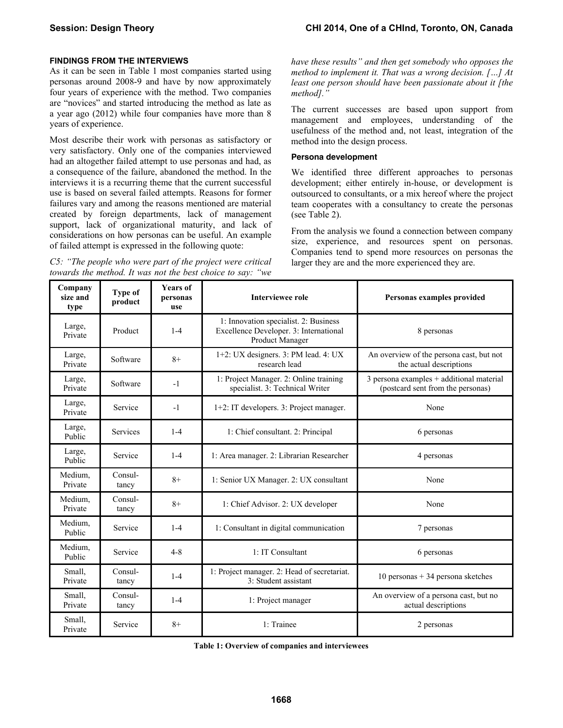## **FINDINGS FROM THE INTERVIEWS**

As it can be seen in Table 1 most companies started using personas around 2008-9 and have by now approximately four years of experience with the method. Two companies are "novices" and started introducing the method as late as a year ago (2012) while four companies have more than 8 years of experience.

Most describe their work with personas as satisfactory or very satisfactory. Only one of the companies interviewed had an altogether failed attempt to use personas and had, as a consequence of the failure, abandoned the method. In the interviews it is a recurring theme that the current successful use is based on several failed attempts. Reasons for former failures vary and among the reasons mentioned are material created by foreign departments, lack of management support, lack of organizational maturity, and lack of considerations on how personas can be useful. An example of failed attempt is expressed in the following quote:

*C5: "The people who were part of the project were critical towards the method. It was not the best choice to say: "we* 

*have these results" and then get somebody who opposes the method to implement it. That was a wrong decision. […] At least one person should have been passionate about it [the method]."* 

The current successes are based upon support from management and employees, understanding of the usefulness of the method and, not least, integration of the method into the design process.

#### **Persona development**

We identified three different approaches to personas development; either entirely in-house, or development is outsourced to consultants, or a mix hereof where the project team cooperates with a consultancy to create the personas (see Table 2).

From the analysis we found a connection between company size, experience, and resources spent on personas. Companies tend to spend more resources on personas the larger they are and the more experienced they are.

| Company<br>size and<br>type | <b>Type of</b><br>product | <b>Years of</b><br>personas<br>use | <b>Interviewee role</b>                                                                                                      | Personas examples provided                                                      |  |
|-----------------------------|---------------------------|------------------------------------|------------------------------------------------------------------------------------------------------------------------------|---------------------------------------------------------------------------------|--|
| Large,<br>Private           | Product                   | $1-4$                              | 1: Innovation specialist. 2: Business<br>Excellence Developer. 3: International<br>8 personas<br>Product Manager             |                                                                                 |  |
| Large,<br>Private           | Software                  | $8+$                               | 1+2: UX designers. 3: PM lead. 4: UX<br>An overview of the persona cast, but not<br>research lead<br>the actual descriptions |                                                                                 |  |
| Large,<br>Private           | Software                  | $-1$                               | 1: Project Manager. 2: Online training<br>specialist. 3: Technical Writer                                                    | $3$ persona examples + additional material<br>(postcard sent from the personas) |  |
| Large,<br>Private           | Service                   | $-1$                               | 1+2: IT developers. 3: Project manager.                                                                                      | None                                                                            |  |
| Large,<br>Public            | <b>Services</b>           | $1 - 4$                            | 1: Chief consultant. 2: Principal                                                                                            | 6 personas                                                                      |  |
| Large,<br>Public            | Service                   | $1 - 4$                            | 1: Area manager. 2: Librarian Researcher                                                                                     | 4 personas                                                                      |  |
| Medium.<br>Private          | Consul-<br>tancy          | $8+$                               | 1: Senior UX Manager. 2: UX consultant<br>None                                                                               |                                                                                 |  |
| Medium.<br>Private          | Consul-<br>tancy          | $8+$                               | 1: Chief Advisor. 2: UX developer                                                                                            | None                                                                            |  |
| Medium.<br>Public           | Service                   | $1 - 4$                            | 1: Consultant in digital communication                                                                                       | 7 personas                                                                      |  |
| Medium,<br>Public           | Service                   | $4 - 8$                            | 1: IT Consultant                                                                                                             | 6 personas                                                                      |  |
| Small,<br>Private           | Consul-<br>tancy          | $1 - 4$                            | 1: Project manager. 2: Head of secretariat.<br>3: Student assistant                                                          | 10 personas + 34 persona sketches                                               |  |
| Small,<br>Private           | Consul-<br>tancy          | $1 - 4$                            | 1: Project manager                                                                                                           | An overview of a persona cast, but no<br>actual descriptions                    |  |
| Small,<br>Private           | Service                   | $8+$                               | 1: Trainee                                                                                                                   | 2 personas                                                                      |  |

**Table 1: Overview of companies and interviewees**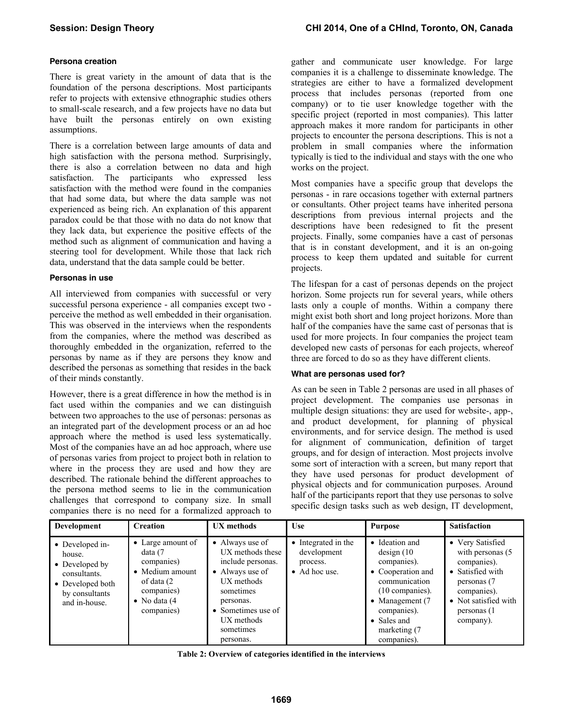## **Persona creation**

There is great variety in the amount of data that is the foundation of the persona descriptions. Most participants refer to projects with extensive ethnographic studies others to small-scale research, and a few projects have no data but have built the personas entirely on own existing assumptions.

There is a correlation between large amounts of data and high satisfaction with the persona method. Surprisingly, there is also a correlation between no data and high satisfaction. The participants who expressed less satisfaction with the method were found in the companies that had some data, but where the data sample was not experienced as being rich. An explanation of this apparent paradox could be that those with no data do not know that they lack data, but experience the positive effects of the method such as alignment of communication and having a steering tool for development. While those that lack rich data, understand that the data sample could be better.

## **Personas in use**

All interviewed from companies with successful or very successful persona experience - all companies except two perceive the method as well embedded in their organisation. This was observed in the interviews when the respondents from the companies, where the method was described as thoroughly embedded in the organization, referred to the personas by name as if they are persons they know and described the personas as something that resides in the back of their minds constantly.

However, there is a great difference in how the method is in fact used within the companies and we can distinguish between two approaches to the use of personas: personas as an integrated part of the development process or an ad hoc approach where the method is used less systematically. Most of the companies have an ad hoc approach, where use of personas varies from project to project both in relation to where in the process they are used and how they are described. The rationale behind the different approaches to the persona method seems to lie in the communication challenges that correspond to company size. In small companies there is no need for a formalized approach to

gather and communicate user knowledge. For large companies it is a challenge to disseminate knowledge. The strategies are either to have a formalized development process that includes personas (reported from one company) or to tie user knowledge together with the specific project (reported in most companies). This latter approach makes it more random for participants in other projects to encounter the persona descriptions. This is not a problem in small companies where the information typically is tied to the individual and stays with the one who works on the project.

Most companies have a specific group that develops the personas - in rare occasions together with external partners or consultants. Other project teams have inherited persona descriptions from previous internal projects and the descriptions have been redesigned to fit the present projects. Finally, some companies have a cast of personas that is in constant development, and it is an on-going process to keep them updated and suitable for current projects.

The lifespan for a cast of personas depends on the project horizon. Some projects run for several years, while others lasts only a couple of months. Within a company there might exist both short and long project horizons. More than half of the companies have the same cast of personas that is used for more projects. In four companies the project team developed new casts of personas for each projects, whereof three are forced to do so as they have different clients.

## **What are personas used for?**

As can be seen in Table 2 personas are used in all phases of project development. The companies use personas in multiple design situations: they are used for website-, app-, and product development, for planning of physical environments, and for service design. The method is used for alignment of communication, definition of target groups, and for design of interaction. Most projects involve some sort of interaction with a screen, but many report that they have used personas for product development of physical objects and for communication purposes. Around half of the participants report that they use personas to solve specific design tasks such as web design, IT development,

| <b>Development</b>                                                                                                 | <b>Creation</b>                                                                                                            | <b>UX</b> methods                                                                                                                                                                 | <b>Use</b>                                                      | <b>Purpose</b>                                                                                                                                                                          | <b>Satisfaction</b>                                                                                                                                        |
|--------------------------------------------------------------------------------------------------------------------|----------------------------------------------------------------------------------------------------------------------------|-----------------------------------------------------------------------------------------------------------------------------------------------------------------------------------|-----------------------------------------------------------------|-----------------------------------------------------------------------------------------------------------------------------------------------------------------------------------------|------------------------------------------------------------------------------------------------------------------------------------------------------------|
| • Developed in-<br>house.<br>• Developed by<br>consultants.<br>• Developed both<br>by consultants<br>and in-house. | • Large amount of<br>data (7<br>companies)<br>• Medium amount<br>of data (2<br>companies)<br>• No data $(4)$<br>companies) | • Always use of<br>UX methods these<br>include personas.<br>• Always use of<br>UX methods<br>sometimes<br>personas.<br>• Sometimes use of<br>UX methods<br>sometimes<br>personas. | • Integrated in the<br>development<br>process.<br>• Ad hoc use. | • Ideation and<br>design(10)<br>companies).<br>• Cooperation and<br>communication<br>(10 companies).<br>• Management $(7)$<br>companies).<br>• Sales and<br>marketing (7<br>companies). | • Very Satisfied<br>with personas (5)<br>companies).<br>• Satisfied with<br>personas (7<br>companies).<br>• Not satisfied with<br>personas (1<br>company). |

**Table 2: Overview of categories identified in the interviews**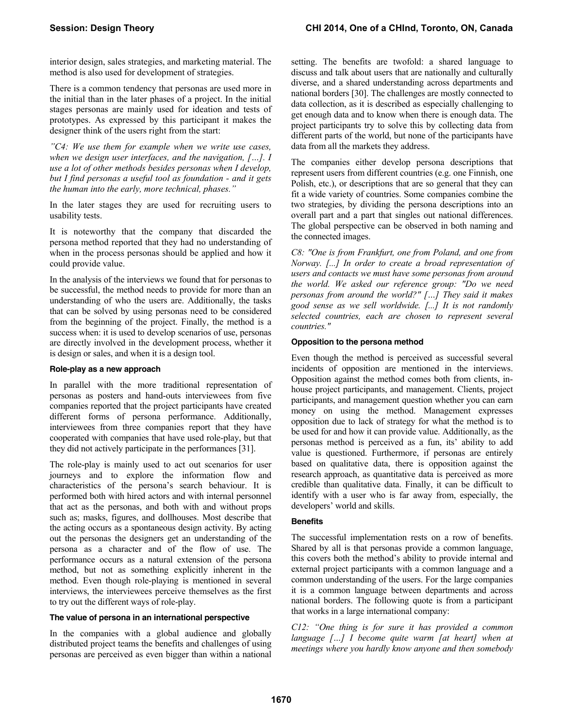interior design, sales strategies, and marketing material. The method is also used for development of strategies.

There is a common tendency that personas are used more in the initial than in the later phases of a project. In the initial stages personas are mainly used for ideation and tests of prototypes. As expressed by this participant it makes the designer think of the users right from the start:

*"C4: We use them for example when we write use cases, when we design user interfaces, and the navigation, […]. I use a lot of other methods besides personas when I develop, but I find personas a useful tool as foundation - and it gets the human into the early, more technical, phases."* 

In the later stages they are used for recruiting users to usability tests.

It is noteworthy that the company that discarded the persona method reported that they had no understanding of when in the process personas should be applied and how it could provide value.

In the analysis of the interviews we found that for personas to be successful, the method needs to provide for more than an understanding of who the users are. Additionally, the tasks that can be solved by using personas need to be considered from the beginning of the project. Finally, the method is a success when: it is used to develop scenarios of use, personas are directly involved in the development process, whether it is design or sales, and when it is a design tool.

#### **Role-play as a new approach**

In parallel with the more traditional representation of personas as posters and hand-outs interviewees from five companies reported that the project participants have created different forms of persona performance. Additionally, interviewees from three companies report that they have cooperated with companies that have used role-play, but that they did not actively participate in the performances [31].

The role-play is mainly used to act out scenarios for user journeys and to explore the information flow and characteristics of the persona's search behaviour. It is performed both with hired actors and with internal personnel that act as the personas, and both with and without props such as; masks, figures, and dollhouses. Most describe that the acting occurs as a spontaneous design activity. By acting out the personas the designers get an understanding of the persona as a character and of the flow of use. The performance occurs as a natural extension of the persona method, but not as something explicitly inherent in the method. Even though role-playing is mentioned in several interviews, the interviewees perceive themselves as the first to try out the different ways of role-play.

## **The value of persona in an international perspective**

In the companies with a global audience and globally distributed project teams the benefits and challenges of using personas are perceived as even bigger than within a national setting. The benefits are twofold: a shared language to discuss and talk about users that are nationally and culturally diverse, and a shared understanding across departments and national borders [30]. The challenges are mostly connected to data collection, as it is described as especially challenging to get enough data and to know when there is enough data. The project participants try to solve this by collecting data from different parts of the world, but none of the participants have data from all the markets they address.

The companies either develop persona descriptions that represent users from different countries (e.g. one Finnish, one Polish, etc.), or descriptions that are so general that they can fit a wide variety of countries. Some companies combine the two strategies, by dividing the persona descriptions into an overall part and a part that singles out national differences. The global perspective can be observed in both naming and the connected images.

*C8: "One is from Frankfurt, one from Poland, and one from Norway. [...] In order to create a broad representation of users and contacts we must have some personas from around the world. We asked our reference group: "Do we need personas from around the world?" […] They said it makes good sense as we sell worldwide. [...] It is not randomly selected countries, each are chosen to represent several countries."* 

## **Opposition to the persona method**

Even though the method is perceived as successful several incidents of opposition are mentioned in the interviews. Opposition against the method comes both from clients, inhouse project participants, and management. Clients, project participants, and management question whether you can earn money on using the method. Management expresses opposition due to lack of strategy for what the method is to be used for and how it can provide value. Additionally, as the personas method is perceived as a fun, its' ability to add value is questioned. Furthermore, if personas are entirely based on qualitative data, there is opposition against the research approach, as quantitative data is perceived as more credible than qualitative data. Finally, it can be difficult to identify with a user who is far away from, especially, the developers' world and skills.

#### **Benefits**

The successful implementation rests on a row of benefits. Shared by all is that personas provide a common language, this covers both the method's ability to provide internal and external project participants with a common language and a common understanding of the users. For the large companies it is a common language between departments and across national borders. The following quote is from a participant that works in a large international company:

*C12: "One thing is for sure it has provided a common language […] I become quite warm [at heart] when at meetings where you hardly know anyone and then somebody*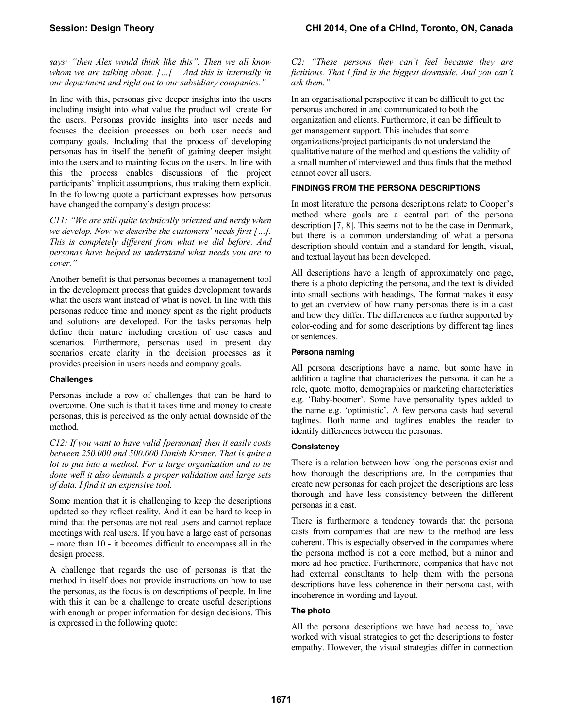*says: "then Alex would think like this". Then we all know whom we are talking about. […] – And this is internally in our department and right out to our subsidiary companies."* 

In line with this, personas give deeper insights into the users including insight into what value the product will create for the users. Personas provide insights into user needs and focuses the decision processes on both user needs and company goals. Including that the process of developing personas has in itself the benefit of gaining deeper insight into the users and to mainting focus on the users. In line with this the process enables discussions of the project participants' implicit assumptions, thus making them explicit. In the following quote a participant expresses how personas have changed the company's design process:

*C11: "We are still quite technically oriented and nerdy when we develop. Now we describe the customers' needs first […]. This is completely different from what we did before. And personas have helped us understand what needs you are to cover."* 

Another benefit is that personas becomes a management tool in the development process that guides development towards what the users want instead of what is novel. In line with this personas reduce time and money spent as the right products and solutions are developed. For the tasks personas help define their nature including creation of use cases and scenarios. Furthermore, personas used in present day scenarios create clarity in the decision processes as it provides precision in users needs and company goals.

## **Challenges**

Personas include a row of challenges that can be hard to overcome. One such is that it takes time and money to create personas, this is perceived as the only actual downside of the method.

*C12: If you want to have valid [personas] then it easily costs between 250.000 and 500.000 Danish Kroner. That is quite a lot to put into a method. For a large organization and to be done well it also demands a proper validation and large sets of data. I find it an expensive tool.* 

Some mention that it is challenging to keep the descriptions updated so they reflect reality. And it can be hard to keep in mind that the personas are not real users and cannot replace meetings with real users. If you have a large cast of personas – more than 10 - it becomes difficult to encompass all in the design process.

A challenge that regards the use of personas is that the method in itself does not provide instructions on how to use the personas, as the focus is on descriptions of people. In line with this it can be a challenge to create useful descriptions with enough or proper information for design decisions. This is expressed in the following quote:

#### *C2: "These persons they can't feel because they are fictitious. That I find is the biggest downside. And you can't ask them."*

In an organisational perspective it can be difficult to get the personas anchored in and communicated to both the organization and clients. Furthermore, it can be difficult to get management support. This includes that some organizations/project participants do not understand the qualitative nature of the method and questions the validity of a small number of interviewed and thus finds that the method cannot cover all users.

## **FINDINGS FROM THE PERSONA DESCRIPTIONS**

In most literature the persona descriptions relate to Cooper's method where goals are a central part of the persona description [7, 8]. This seems not to be the case in Denmark, but there is a common understanding of what a persona description should contain and a standard for length, visual, and textual layout has been developed.

All descriptions have a length of approximately one page, there is a photo depicting the persona, and the text is divided into small sections with headings. The format makes it easy to get an overview of how many personas there is in a cast and how they differ. The differences are further supported by color-coding and for some descriptions by different tag lines or sentences.

## **Persona naming**

All persona descriptions have a name, but some have in addition a tagline that characterizes the persona, it can be a role, quote, motto, demographics or marketing characteristics e.g. 'Baby-boomer'. Some have personality types added to the name e.g. 'optimistic'. A few persona casts had several taglines. Both name and taglines enables the reader to identify differences between the personas.

## **Consistency**

There is a relation between how long the personas exist and how thorough the descriptions are. In the companies that create new personas for each project the descriptions are less thorough and have less consistency between the different personas in a cast.

There is furthermore a tendency towards that the persona casts from companies that are new to the method are less coherent. This is especially observed in the companies where the persona method is not a core method, but a minor and more ad hoc practice. Furthermore, companies that have not had external consultants to help them with the persona descriptions have less coherence in their persona cast, with incoherence in wording and layout.

## **The photo**

All the persona descriptions we have had access to, have worked with visual strategies to get the descriptions to foster empathy. However, the visual strategies differ in connection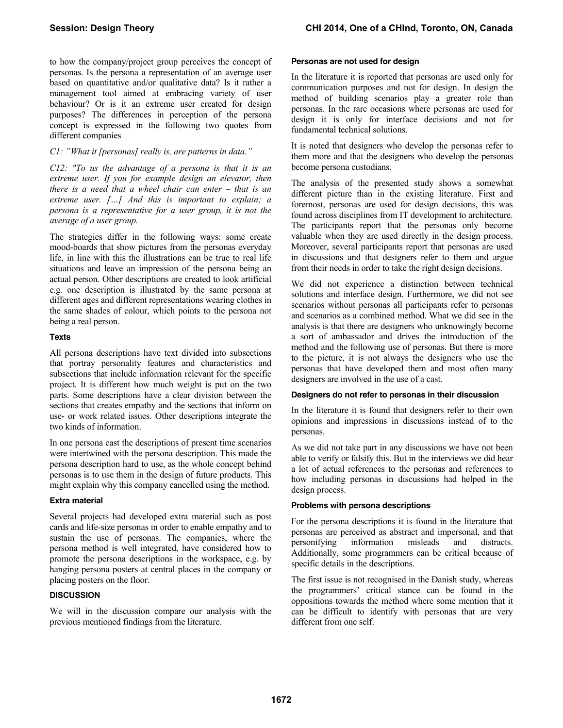to how the company/project group perceives the concept of personas. Is the persona a representation of an average user based on quantitative and/or qualitative data? Is it rather a management tool aimed at embracing variety of user behaviour? Or is it an extreme user created for design purposes? The differences in perception of the persona concept is expressed in the following two quotes from different companies

# *C1: "What it [personas] really is, are patterns in data."*

*C12: "To us the advantage of a persona is that it is an extreme user. If you for example design an elevator, then there is a need that a wheel chair can enter – that is an extreme user. […] And this is important to explain; a persona is a representative for a user group, it is not the average of a user group.* 

The strategies differ in the following ways: some create mood-boards that show pictures from the personas everyday life, in line with this the illustrations can be true to real life situations and leave an impression of the persona being an actual person. Other descriptions are created to look artificial e.g. one description is illustrated by the same persona at different ages and different representations wearing clothes in the same shades of colour, which points to the persona not being a real person.

#### **Texts**

All persona descriptions have text divided into subsections that portray personality features and characteristics and subsections that include information relevant for the specific project. It is different how much weight is put on the two parts. Some descriptions have a clear division between the sections that creates empathy and the sections that inform on use- or work related issues. Other descriptions integrate the two kinds of information.

In one persona cast the descriptions of present time scenarios were intertwined with the persona description. This made the persona description hard to use, as the whole concept behind personas is to use them in the design of future products. This might explain why this company cancelled using the method.

## **Extra material**

Several projects had developed extra material such as post cards and life-size personas in order to enable empathy and to sustain the use of personas. The companies, where the persona method is well integrated, have considered how to promote the persona descriptions in the workspace, e.g. by hanging persona posters at central places in the company or placing posters on the floor.

#### **DISCUSSION**

We will in the discussion compare our analysis with the previous mentioned findings from the literature.

#### **Personas are not used for design**

In the literature it is reported that personas are used only for communication purposes and not for design. In design the method of building scenarios play a greater role than personas. In the rare occasions where personas are used for design it is only for interface decisions and not for fundamental technical solutions.

It is noted that designers who develop the personas refer to them more and that the designers who develop the personas become persona custodians.

The analysis of the presented study shows a somewhat different picture than in the existing literature. First and foremost, personas are used for design decisions, this was found across disciplines from IT development to architecture. The participants report that the personas only become valuable when they are used directly in the design process. Moreover, several participants report that personas are used in discussions and that designers refer to them and argue from their needs in order to take the right design decisions.

We did not experience a distinction between technical solutions and interface design. Furthermore, we did not see scenarios without personas all participants refer to personas and scenarios as a combined method. What we did see in the analysis is that there are designers who unknowingly become a sort of ambassador and drives the introduction of the method and the following use of personas. But there is more to the picture, it is not always the designers who use the personas that have developed them and most often many designers are involved in the use of a cast.

#### **Designers do not refer to personas in their discussion**

In the literature it is found that designers refer to their own opinions and impressions in discussions instead of to the personas.

As we did not take part in any discussions we have not been able to verify or falsify this. But in the interviews we did hear a lot of actual references to the personas and references to how including personas in discussions had helped in the design process.

#### **Problems with persona descriptions**

For the persona descriptions it is found in the literature that personas are perceived as abstract and impersonal, and that personifying information misleads and distracts. Additionally, some programmers can be critical because of specific details in the descriptions.

The first issue is not recognised in the Danish study, whereas the programmers' critical stance can be found in the oppositions towards the method where some mention that it can be difficult to identify with personas that are very different from one self.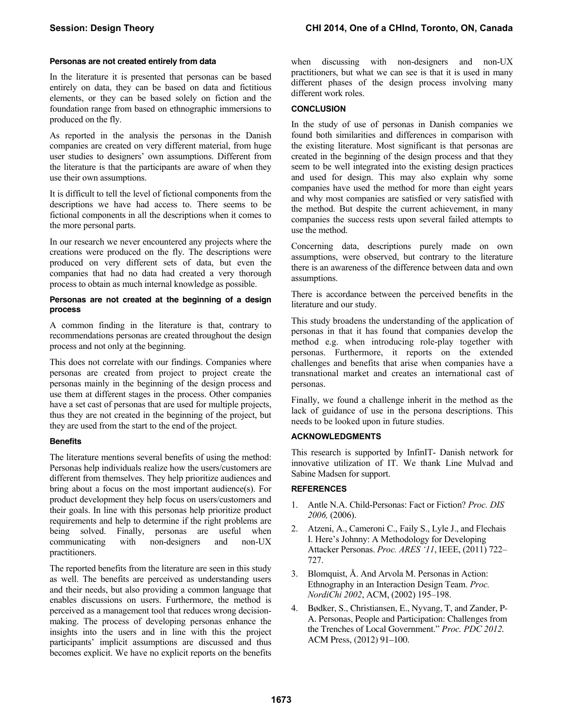#### **Personas are not created entirely from data**

In the literature it is presented that personas can be based entirely on data, they can be based on data and fictitious elements, or they can be based solely on fiction and the foundation range from based on ethnographic immersions to produced on the fly.

As reported in the analysis the personas in the Danish companies are created on very different material, from huge user studies to designers' own assumptions. Different from the literature is that the participants are aware of when they use their own assumptions.

It is difficult to tell the level of fictional components from the descriptions we have had access to. There seems to be fictional components in all the descriptions when it comes to the more personal parts.

In our research we never encountered any projects where the creations were produced on the fly. The descriptions were produced on very different sets of data, but even the companies that had no data had created a very thorough process to obtain as much internal knowledge as possible.

#### **Personas are not created at the beginning of a design process**

A common finding in the literature is that, contrary to recommendations personas are created throughout the design process and not only at the beginning.

This does not correlate with our findings. Companies where personas are created from project to project create the personas mainly in the beginning of the design process and use them at different stages in the process. Other companies have a set cast of personas that are used for multiple projects, thus they are not created in the beginning of the project, but they are used from the start to the end of the project.

#### **Benefits**

The literature mentions several benefits of using the method: Personas help individuals realize how the users/customers are different from themselves. They help prioritize audiences and bring about a focus on the most important audience(s). For product development they help focus on users/customers and their goals. In line with this personas help prioritize product requirements and help to determine if the right problems are being solved. Finally, personas are useful when communicating with non-designers and non-UX practitioners.

The reported benefits from the literature are seen in this study as well. The benefits are perceived as understanding users and their needs, but also providing a common language that enables discussions on users. Furthermore, the method is perceived as a management tool that reduces wrong decisionmaking. The process of developing personas enhance the insights into the users and in line with this the project participants' implicit assumptions are discussed and thus becomes explicit. We have no explicit reports on the benefits when discussing with non-designers and non-UX practitioners, but what we can see is that it is used in many different phases of the design process involving many different work roles.

## **CONCLUSION**

In the study of use of personas in Danish companies we found both similarities and differences in comparison with the existing literature. Most significant is that personas are created in the beginning of the design process and that they seem to be well integrated into the existing design practices and used for design. This may also explain why some companies have used the method for more than eight years and why most companies are satisfied or very satisfied with the method. But despite the current achievement, in many companies the success rests upon several failed attempts to use the method.

Concerning data, descriptions purely made on own assumptions, were observed, but contrary to the literature there is an awareness of the difference between data and own assumptions.

There is accordance between the perceived benefits in the literature and our study.

This study broadens the understanding of the application of personas in that it has found that companies develop the method e.g. when introducing role-play together with personas. Furthermore, it reports on the extended challenges and benefits that arise when companies have a transnational market and creates an international cast of personas.

Finally, we found a challenge inherit in the method as the lack of guidance of use in the persona descriptions. This needs to be looked upon in future studies.

## **ACKNOWLEDGMENTS**

This research is supported by InfinIT- Danish network for innovative utilization of IT. We thank Line Mulvad and Sabine Madsen for support.

## **REFERENCES**

- 1. Antle N.A. Child-Personas: Fact or Fiction? *Proc. DIS 2006,* (2006).
- 2. Atzeni, A., Cameroni C., Faily S., Lyle J., and Flechais I. Here's Johnny: A Methodology for Developing Attacker Personas. *Proc. ARES '11*, IEEE, (2011) 722– 727.
- 3. Blomquist, Å. And Arvola M. Personas in Action: Ethnography in an Interaction Design Team. *Proc. NordiChi 2002*, ACM, (2002) 195–198.
- 4. Bødker, S., Christiansen, E., Nyvang, T, and Zander, P-A. Personas, People and Participation: Challenges from the Trenches of Local Government." *Proc. PDC 2012.*  ACM Press, (2012) 91–100.